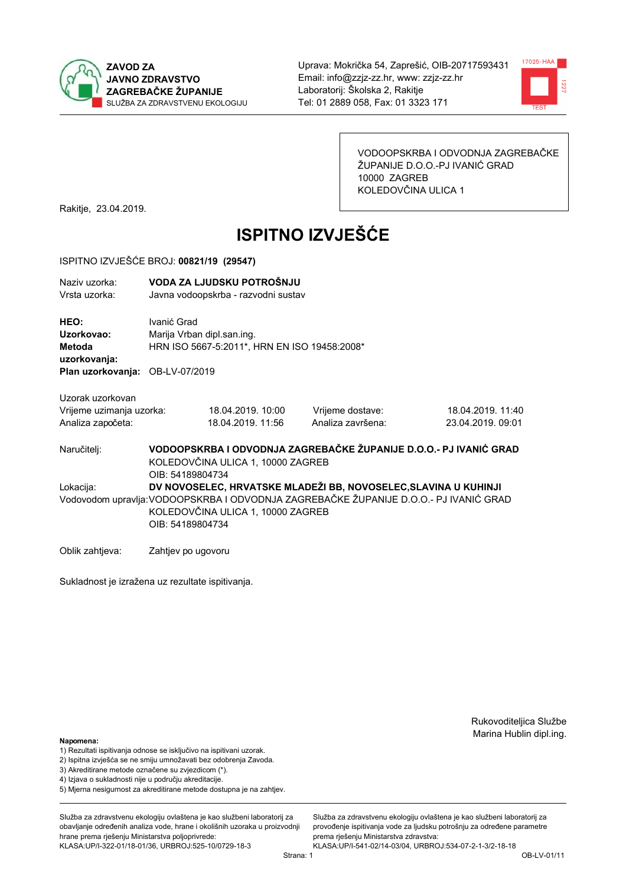



VODOOPSKRBA I ODVODNJA ZAGREBAČKE ŽUPANIJE D.O.O.-PJ IVANIĆ GRAD 10000 ZAGREB KOLEDOVČINA ULICA 1

Rakitje, 23.04.2019.

# **ISPITNO IZVJEŠĆE**

#### ISPITNO IZVJEŠĆE BROJ: 00821/19 (29547)

| Naziv uzorka:<br>Vrsta uzorka:  |             | VODA ZA LJUDSKU POTROŠNJU<br>Javna vodoopskrba - razvodni sustav |                   |                   |
|---------------------------------|-------------|------------------------------------------------------------------|-------------------|-------------------|
| HEO:                            | Ivanić Grad |                                                                  |                   |                   |
| Uzorkovao:                      |             | Marija Vrban dipl.san.ing.                                       |                   |                   |
| Metoda                          |             | HRN ISO 5667-5:2011*, HRN EN ISO 19458:2008*                     |                   |                   |
| uzorkovanja:                    |             |                                                                  |                   |                   |
| Plan uzorkovanja: OB-LV-07/2019 |             |                                                                  |                   |                   |
| Uzorak uzorkovan                |             |                                                                  |                   |                   |
| Vrijeme uzimanja uzorka:        |             | 18.04.2019. 10:00                                                | Vrijeme dostave:  | 18.04.2019. 11:40 |
| Analiza započeta:               |             | 18.04.2019. 11:56                                                | Analiza završena: | 23.04.2019.09:01  |
|                                 |             |                                                                  |                   |                   |

VODOOPSKRBA I ODVODNJA ZAGREBAČKE ŽUPANIJE D.O.O.- PJ IVANIĆ GRAD Naručitelj: KOLEDOVČINA ULICA 1, 10000 ZAGREB OIB: 54189804734 Lokacija: DV NOVOSELEC, HRVATSKE MLADEŽI BB. NOVOSELEC, SLAVINA U KUHINJI Vodovodom upravlja: VODOOPSKRBA I ODVODNJA ZAGREBAČKE ŽUPANIJE D.O.O.- PJ IVANIĆ GRAD KOLEDOVČINA ULICA 1, 10000 ZAGREB OIB: 54189804734

Oblik zahtjeva: Zahtjev po ugovoru

Sukladnost je izražena uz rezultate ispitivanja.

Rukovoditeljica Službe Marina Hublin dipl.ing.

#### Napomena:

- 1) Rezultati ispitivanja odnose se isključivo na ispitivani uzorak.
- 2) Ispitna izvješća se ne smiju umnožavati bez odobrenja Zavoda.

3) Akreditirane metode označene su zvjezdicom (\*).

- 4) Iziava o sukladnosti nije u području akreditacije.
- 5) Mjerna nesigurnost za akreditirane metode dostupna je na zahtjev.

Služba za zdravstvenu ekologiju ovlaštena je kao službeni laboratorij za obavlianie određenih analiza vode, hrane i okolišnih uzoraka u proizvodniji hrane prema rješenju Ministarstva poljoprivrede: KLASA:UP/I-322-01/18-01/36, URBROJ:525-10/0729-18-3

Služba za zdravstvenu ekologiju ovlaštena je kao službeni laboratorij za provođenie ispitivania vode za liudsku potrošniu za određene parametre prema riešenju Ministarstva zdravstva:

KLASA:UP/I-541-02/14-03/04, URBROJ:534-07-2-1-3/2-18-18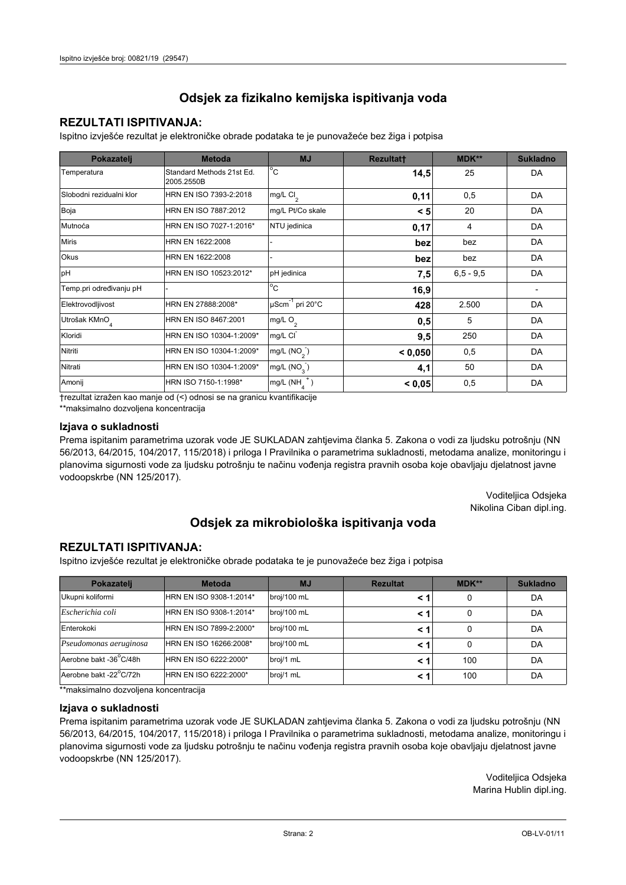## **REZULTATI ISPITIVANJA:**

Ispitno izviešće rezultat je elektroničke obrade podataka te je punovažeće bez žiga i potpisa

| Pokazatelj                | <b>Metoda</b>                           | <b>MJ</b>               | <b>Rezultatt</b> | MDK**         | <b>Sukladno</b> |
|---------------------------|-----------------------------------------|-------------------------|------------------|---------------|-----------------|
| Temperatura               | Standard Methods 21st Ed.<br>2005.2550B | $^{\circ}$ C            | 14,5             | 25            | DA              |
| Slobodni rezidualni klor  | HRN EN ISO 7393-2:2018                  | mg/L $Cl2$              | 0,11             | 0,5           | DA              |
| Boja                      | HRN EN ISO 7887:2012                    | mg/L Pt/Co skale        | < 5              | 20            | DA              |
| Mutnoća                   | HRN EN ISO 7027-1:2016*                 | NTU jedinica            | 0,17             | 4             | DA              |
| <b>Miris</b>              | HRN EN 1622:2008                        |                         | bez              | bez           | DA              |
| Okus                      | HRN EN 1622:2008                        |                         | bez              | bez           | DA              |
| pH                        | HRN EN ISO 10523:2012*                  | pH jedinica             | 7,5              | $6, 5 - 9, 5$ | DA              |
| Temp.pri određivanju pH   |                                         | $^{\circ}$ C            | 16,9             |               |                 |
| Elektrovodljivost         | HRN EN 27888:2008*                      | µScm-1 pri 20°C         | 428              | 2.500         | DA              |
| Utrošak KMnO <sub>4</sub> | HRN EN ISO 8467:2001                    | mg/L O <sub>2</sub>     | 0,5              | 5             | DA              |
| Kloridi                   | HRN EN ISO 10304-1:2009*                | mg/L CI                 | 9,5              | 250           | DA              |
| Nitriti                   | HRN EN ISO 10304-1:2009*                | mg/L $(NO2)$            | < 0.050          | 0,5           | DA              |
| Nitrati                   | HRN EN ISO 10304-1:2009*                | mg/L (NO <sub>3</sub> ) | 4,1              | 50            | DA              |
| Amonij                    | HRN ISO 7150-1:1998*                    | mg/L (NH                | < 0,05           | 0,5           | DA              |

trezultat izražen kao manje od (<) odnosi se na granicu kvantifikacije

\*\*maksimalno dozvoljena koncentracija

#### Izjava o sukladnosti

Prema ispitanim parametrima uzorak vode JE SUKLADAN zahtievima članka 5. Zakona o vodi za ljudsku potrošnju (NN 56/2013, 64/2015, 104/2017, 115/2018) i priloga I Pravilnika o parametrima sukladnosti, metodama analize, monitoringu i planovima sigurnosti vode za ljudsku potrošnju te načinu vođenja registra pravnih osoba koje obavljaju djelatnost javne vodoopskrbe (NN 125/2017).

> Voditeljica Odsjeka Nikolina Ciban dipl.ing.

## Odsjek za mikrobiološka ispitivanja voda

### **REZULTATI ISPITIVANJA:**

Ispitno izvješće rezultat je elektroničke obrade podataka te je punovažeće bez žiga i potpisa

| Pokazatelj             | <b>Metoda</b>           | <b>MJ</b>   | <b>Rezultat</b> | MDK** | <b>Sukladno</b> |
|------------------------|-------------------------|-------------|-----------------|-------|-----------------|
| Ukupni koliformi       | HRN EN ISO 9308-1:2014* | broj/100 mL |                 |       | DA              |
| Escherichia coli       | HRN EN ISO 9308-1:2014* | broj/100 mL | < 1             |       | DA              |
| Enterokoki             | HRN EN ISO 7899-2:2000* | broj/100 mL | < '             |       | DA              |
| Pseudomonas aeruginosa | HRN EN ISO 16266:2008*  | broj/100 mL | < 1             | 0     | DA              |
| Aerobne bakt -36 C/48h | HRN EN ISO 6222:2000*   | broj/1 mL   |                 | 100   | DA              |
| Aerobne bakt -22°C/72h | HRN EN ISO 6222:2000*   | broj/1 mL   | < 1             | 100   | DA              |

\*\*maksimalno dozvoljena koncentracija

#### Izjava o sukladnosti

Prema ispitanim parametrima uzorak vode JE SUKLADAN zahtjevima članka 5. Zakona o vodi za ljudsku potrošnju (NN 56/2013, 64/2015, 104/2017, 115/2018) i priloga I Pravilnika o parametrima sukladnosti, metodama analize, monitoringu i planovima sigurnosti vode za ljudsku potrošnju te načinu vođenja registra pravnih osoba koje obavljaju djelatnost javne vodoopskrbe (NN 125/2017).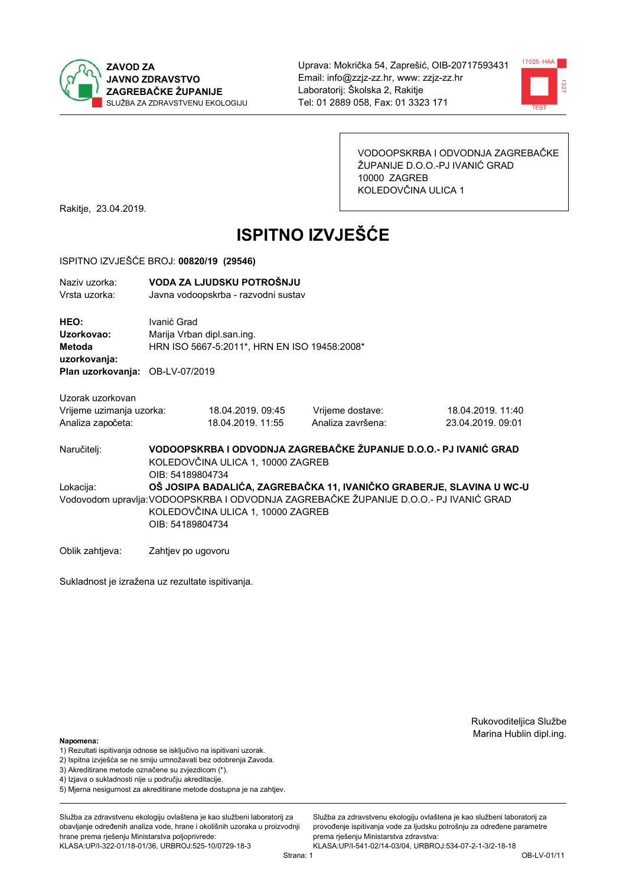



VODOOPSKRBA I ODVODNJA ZAGREBAČKE ŽUPANIJE D.O.O.-PJ IVANIĆ GRAD 10000 ZAGREB KOLEDOVČINA ULICA 1

Rakitje, 23.04.2019.

# **ISPITNO IZVJEŠĆE**

#### ISPITNO IZVJEŠĆE BROJ: 00820/19 (29546)

| Naziy uzorka:<br>Vrsta uzorka:               |                                   | VODA ZA LJUDSKU POTROŠNJU<br>Javna vodoopskrba - razvodni sustav           |                                                                                       |                                                                      |  |  |
|----------------------------------------------|-----------------------------------|----------------------------------------------------------------------------|---------------------------------------------------------------------------------------|----------------------------------------------------------------------|--|--|
| HEO:<br>Uzorkovao:<br>Metoda<br>uzorkovanja: | Ivanić Grad                       | Marija Vrban dipl.san.ing.<br>HRN ISO 5667-5:2011*, HRN EN ISO 19458:2008* |                                                                                       |                                                                      |  |  |
| Plan uzorkovanja: OB-LV-07/2019              |                                   |                                                                            |                                                                                       |                                                                      |  |  |
| Uzorak uzorkovan                             |                                   |                                                                            |                                                                                       |                                                                      |  |  |
| Vrijeme uzimanja uzorka:                     |                                   | 18.04.2019. 09:45                                                          | Vrijeme dostave:                                                                      | 18.04.2019. 11:40                                                    |  |  |
| Analiza započeta:                            |                                   | 18.04.2019. 11:55                                                          | Analiza završena:                                                                     | 23.04.2019. 09:01                                                    |  |  |
| Naručitelj:                                  | OIB: 54189804734                  | KOLEDOVČINA ULICA 1, 10000 ZAGREB                                          | VODOOPSKRBA I ODVODNJA ZAGREBAČKE ŽUPANIJE D.O.O.- PJ IVANIĆ GRAD                     |                                                                      |  |  |
| Lokacija:                                    |                                   |                                                                            |                                                                                       | OŠ JOSIPA BADALIĆA, ZAGREBAČKA 11, IVANIČKO GRABERJE, SLAVINA U WC-U |  |  |
|                                              |                                   |                                                                            | Vodovodom upravlja: VODOOPSKRBA I ODVODNJA ZAGREBAČKE ŽUPANIJE D.O.O.- PJ IVANIĆ GRAD |                                                                      |  |  |
|                                              | KOLEDOVČINA ULICA 1, 10000 ZAGREB |                                                                            |                                                                                       |                                                                      |  |  |
|                                              | OIB: 54189804734                  |                                                                            |                                                                                       |                                                                      |  |  |
| Oblik zahtjeva:                              | Zahtjev po ugovoru                |                                                                            |                                                                                       |                                                                      |  |  |

Sukladnost je izražena uz rezultate ispitivanja.

Rukovoditeljica Službe Marina Hublin dipl.ing.

#### Napomena:

- 1) Rezultati ispitivanja odnose se isključivo na ispitivani uzorak.
- 2) Ispitna izvješća se ne smiju umnožavati bez odobrenja Zavoda.
- 3) Akreditirane metode označene su zvjezdicom (\*).
- 4) Iziava o sukladnosti nije u područiu akreditacije.
- 5) Mjerna nesigurnost za akreditirane metode dostupna je na zahtjev.

Služba za zdravstvenu ekologiju ovlaštena je kao službeni laboratorij za obavlianie određenih analiza vode, hrane i okolišnih uzoraka u proizvodniji hrane prema rješenju Ministarstva poljoprivrede: KLASA:UP/I-322-01/18-01/36, URBROJ:525-10/0729-18-3

Služba za zdravstvenu ekologiju ovlaštena je kao službeni laboratorij za provođenie ispitivania vode za liudsku potrošniu za određene parametre prema rješenju Ministarstva zdravstva:

KLASA:UP/I-541-02/14-03/04, URBROJ:534-07-2-1-3/2-18-18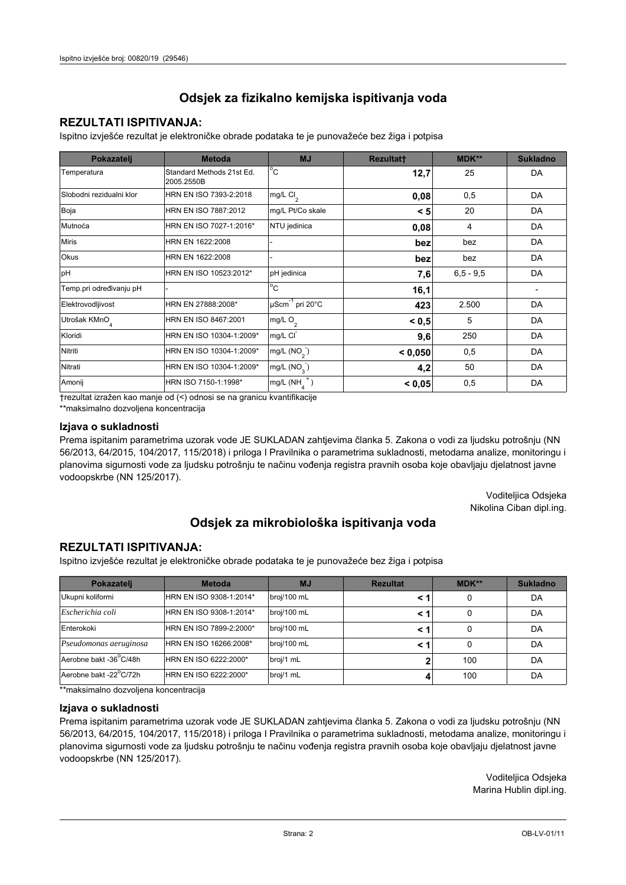## **REZULTATI ISPITIVANJA:**

Ispitno izviešće rezultat je elektroničke obrade podataka te je punovažeće bez žiga i potpisa

| Pokazatelj                | <b>Metoda</b>                           | <b>MJ</b>               | <b>Rezultatt</b> | MDK**         | <b>Sukladno</b> |
|---------------------------|-----------------------------------------|-------------------------|------------------|---------------|-----------------|
| Temperatura               | Standard Methods 21st Ed.<br>2005.2550B | $^{\circ}$ C            | 12,7             | 25            | DA              |
| Slobodni rezidualni klor  | HRN EN ISO 7393-2:2018                  | mg/L $Cl2$              | 0,08             | 0,5           | DA              |
| Boja                      | HRN EN ISO 7887:2012                    | mg/L Pt/Co skale        | < 5              | 20            | DA              |
| Mutnoća                   | HRN EN ISO 7027-1:2016*                 | NTU jedinica            | 0,08             | 4             | DA              |
| <b>Miris</b>              | HRN EN 1622:2008                        |                         | bez              | bez           | DA              |
| Okus                      | HRN EN 1622:2008                        |                         | bez              | bez           | DA              |
| pH                        | HRN EN ISO 10523:2012*                  | pH jedinica             | 7,6              | $6, 5 - 9, 5$ | DA              |
| Temp.pri određivanju pH   |                                         | $^{\circ}$ C            | 16,1             |               |                 |
| Elektrovodljivost         | HRN EN 27888:2008*                      | µScm-1 pri 20°C         | 423              | 2.500         | DA              |
| Utrošak KMnO <sub>4</sub> | HRN EN ISO 8467:2001                    | mg/L $O2$               | < 0.5            | 5             | DA              |
| Kloridi                   | HRN EN ISO 10304-1:2009*                | mg/L CI                 | 9,6              | 250           | DA              |
| Nitriti                   | HRN EN ISO 10304-1:2009*                | mg/L (NO <sub>2</sub> ) | < 0.050          | 0,5           | DA              |
| Nitrati                   | HRN EN ISO 10304-1:2009*                | mg/L (NO <sub>3</sub> ) | 4,2              | 50            | DA              |
| Amonij                    | HRN ISO 7150-1:1998*                    | mg/L (NH                | < 0,05           | 0,5           | DA              |

trezultat izražen kao manje od (<) odnosi se na granicu kvantifikacije

\*\*maksimalno dozvoljena koncentracija

#### Izjava o sukladnosti

Prema ispitanim parametrima uzorak vode JE SUKLADAN zahtievima članka 5. Zakona o vodi za ljudsku potrošnju (NN 56/2013, 64/2015, 104/2017, 115/2018) i priloga I Pravilnika o parametrima sukladnosti, metodama analize, monitoringu i planovima sigurnosti vode za ljudsku potrošnju te načinu vođenja registra pravnih osoba koje obavljaju djelatnost javne vodoopskrbe (NN 125/2017).

> Voditeljica Odsjeka Nikolina Ciban dipl.ing.

## Odsjek za mikrobiološka ispitivanja voda

### **REZULTATI ISPITIVANJA:**

Ispitno izvješće rezultat je elektroničke obrade podataka te je punovažeće bez žiga i potpisa

| Pokazatelj             | <b>Metoda</b>           | <b>MJ</b>   | <b>Rezultat</b> | MDK** | <b>Sukladno</b> |
|------------------------|-------------------------|-------------|-----------------|-------|-----------------|
| Ukupni koliformi       | HRN EN ISO 9308-1:2014* | broj/100 mL |                 |       | DA              |
| Escherichia coli       | HRN EN ISO 9308-1:2014* | broj/100 mL | < 1             |       | DA              |
| Enterokoki             | HRN EN ISO 7899-2:2000* | broj/100 mL | < '             |       | DA              |
| Pseudomonas aeruginosa | HRN EN ISO 16266:2008*  | broj/100 mL | < 1             | 0     | DA              |
| Aerobne bakt -36 C/48h | HRN EN ISO 6222:2000*   | broj/1 mL   |                 | 100   | DA              |
| Aerobne bakt -22°C/72h | HRN EN ISO 6222:2000*   | broj/1 mL   |                 | 100   | DA              |

\*\*maksimalno dozvoljena koncentracija

#### Izjava o sukladnosti

Prema ispitanim parametrima uzorak vode JE SUKLADAN zahtjevima članka 5. Zakona o vodi za ljudsku potrošnju (NN 56/2013, 64/2015, 104/2017, 115/2018) i priloga I Pravilnika o parametrima sukladnosti, metodama analize, monitoringu i planovima sigurnosti vode za ljudsku potrošnju te načinu vođenja registra pravnih osoba koje obavljaju djelatnost javne vodoopskrbe (NN 125/2017).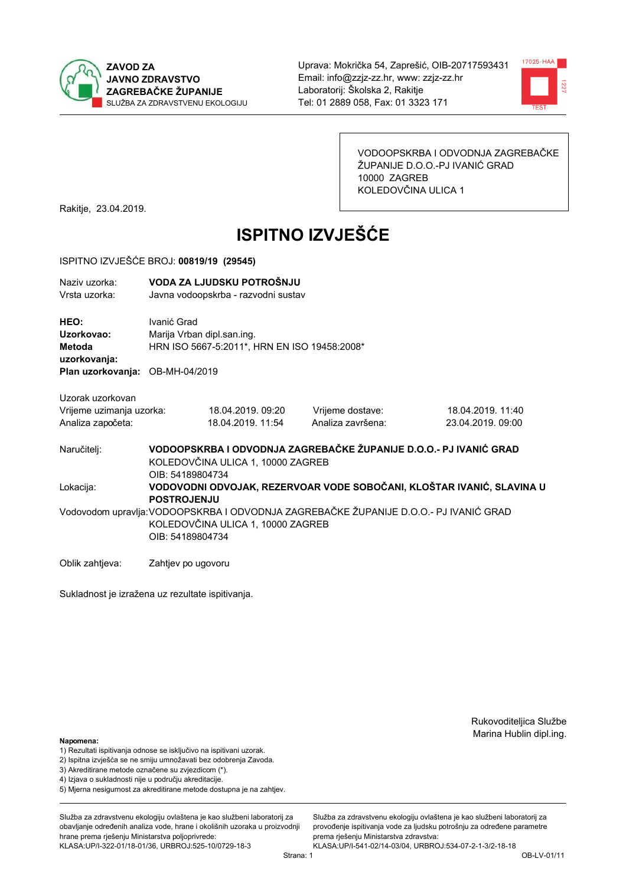



VODOOPSKRBA I ODVODNJA ZAGREBAČKE ŽUPANIJE D.O.O.-PJ IVANIĆ GRAD 10000 ZAGREB KOLEDOVČINA ULICA 1

Rakitje, 23.04.2019.

# **ISPITNO IZVJEŠĆE**

#### ISPITNO IZVJEŠĆE BROJ: 00819/19 (29545)

| Naziv uzorka:<br>Vrsta uzorka:                                                        |                    | VODA ZA LJUDSKU POTROŠNJU<br>Javna vodoopskrba - razvodni sustav           |  |                                                                   |  |                                                                       |
|---------------------------------------------------------------------------------------|--------------------|----------------------------------------------------------------------------|--|-------------------------------------------------------------------|--|-----------------------------------------------------------------------|
| HEO:<br>Uzorkovao:<br>Metoda<br>uzorkovanja:                                          | Ivanić Grad        | Marija Vrban dipl.san.ing.<br>HRN ISO 5667-5:2011*, HRN EN ISO 19458:2008* |  |                                                                   |  |                                                                       |
| Plan uzorkovanja: OB-MH-04/2019                                                       |                    |                                                                            |  |                                                                   |  |                                                                       |
| Uzorak uzorkovan<br>Vrijeme uzimanja uzorka:<br>Analiza započeta:                     |                    | 18.04.2019. 09:20<br>18.04.2019. 11:54                                     |  | Vrijeme dostave:<br>Analiza završena:                             |  | 18.04.2019. 11:40<br>23.04.2019. 09:00                                |
| Naručitelj:                                                                           | OIB: 54189804734   | KOLEDOVČINA ULICA 1, 10000 ZAGREB                                          |  | VODOOPSKRBA I ODVODNJA ZAGREBAČKE ŽUPANIJE D.O.O.- PJ IVANIĆ GRAD |  |                                                                       |
| Lokacija:                                                                             | <b>POSTROJENJU</b> |                                                                            |  |                                                                   |  | VODOVODNI ODVOJAK, REZERVOAR VODE SOBOČANI, KLOŠTAR IVANIĆ, SLAVINA U |
| Vodovodom upravlja: VODOOPSKRBA I ODVODNJA ZAGREBAČKE ŽUPANIJE D.O.O.- PJ IVANIĆ GRAD | OIB: 54189804734   | KOLEDOVČINA ULICA 1, 10000 ZAGREB                                          |  |                                                                   |  |                                                                       |
| Oblik zahtjeva:                                                                       | Zahtjev po ugovoru |                                                                            |  |                                                                   |  |                                                                       |

Sukladnost je izražena uz rezultate ispitivanja.

Rukovoditeljica Službe Marina Hublin dipl.ing.

#### Napomena:

- 1) Rezultati ispitivanja odnose se isključivo na ispitivani uzorak.
- 2) Ispitna izvješća se ne smiju umnožavati bez odobrenja Zavoda.
- 3) Akreditirane metode označene su zvjezdicom (\*).
- 4) Iziava o sukladnosti nije u području akreditacije.
- 5) Mjerna nesigurnost za akreditirane metode dostupna je na zahtjev.

Služba za zdravstvenu ekologiju ovlaštena je kao službeni laboratorij za obavlianie određenih analiza vode, hrane i okolišnih uzoraka u proizvodniji hrane prema rješenju Ministarstva poljoprivrede: KLASA:UP/I-322-01/18-01/36, URBROJ:525-10/0729-18-3

Strana: 1

Služba za zdravstvenu ekologiju ovlaštena je kao službeni laboratorij za provođenje ispitivanja vode za ljudsku potrošnju za određene parametre prema rješenju Ministarstva zdravstva: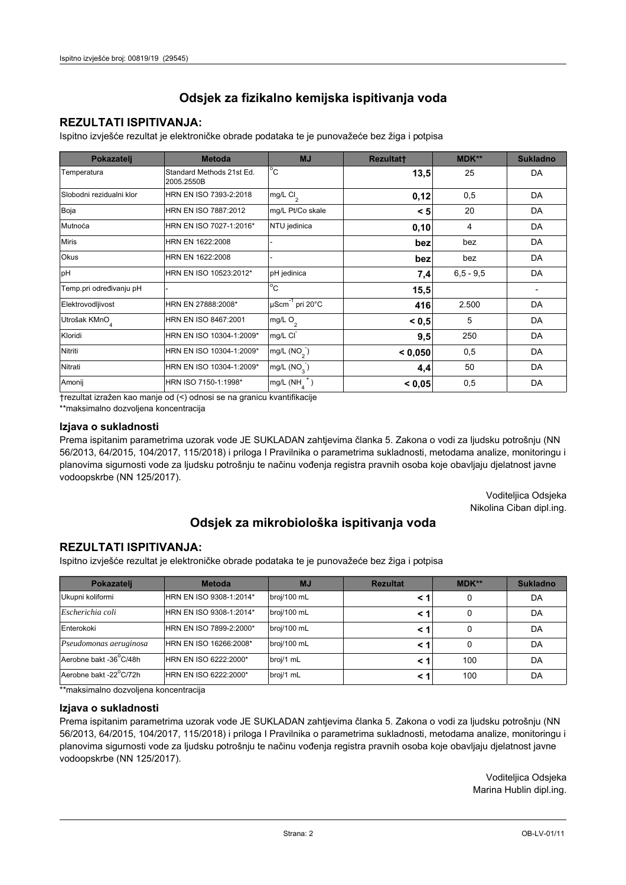## **REZULTATI ISPITIVANJA:**

Ispitno izviešće rezultat je elektroničke obrade podataka te je punovažeće bez žiga i potpisa

| Pokazatelj                | <b>Metoda</b>                           | <b>MJ</b>                   | <b>Rezultatt</b> | MDK**         | <b>Sukladno</b> |
|---------------------------|-----------------------------------------|-----------------------------|------------------|---------------|-----------------|
| Temperatura               | Standard Methods 21st Ed.<br>2005.2550B | $^{\circ}$ C                | 13,5             | 25            | DA              |
| Slobodni rezidualni klor  | HRN EN ISO 7393-2:2018                  | mg/L $Cl2$                  | 0,12             | 0,5           | DA              |
| Boja                      | HRN EN ISO 7887:2012                    | mg/L Pt/Co skale            | < 5              | 20            | DA              |
| Mutnoća                   | HRN EN ISO 7027-1:2016*                 | NTU jedinica                | 0,10             | 4             | DA              |
| <b>Miris</b>              | HRN EN 1622:2008                        |                             | bez              | bez           | DA              |
| Okus                      | HRN EN 1622:2008                        |                             | bez              | bez           | DA              |
| pH                        | HRN EN ISO 10523:2012*                  | pH jedinica                 | 7,4              | $6, 5 - 9, 5$ | DA              |
| Temp.pri određivanju pH   |                                         | $^{\circ}$ C                | 15,5             |               |                 |
| Elektrovodljivost         | HRN EN 27888:2008*                      | µScm <sup>-1</sup> pri 20°C | 416              | 2.500         | DA              |
| Utrošak KMnO <sub>4</sub> | HRN EN ISO 8467:2001                    | mg/L O <sub>2</sub>         | < 0.5            | 5             | DA              |
| Kloridi                   | HRN EN ISO 10304-1:2009*                | mg/L CI                     | 9,5              | 250           | DA              |
| Nitriti                   | HRN EN ISO 10304-1:2009*                | mg/L $(NO2)$                | < 0,050          | 0,5           | DA              |
| Nitrati                   | HRN EN ISO 10304-1:2009*                | mg/L $(NO_{\rm q}^-)$       | 4,4              | 50            | DA              |
| Amonij                    | HRN ISO 7150-1:1998*                    | mg/L (NH                    | < 0,05           | 0,5           | DA              |

trezultat izražen kao manje od (<) odnosi se na granicu kvantifikacije

\*\*maksimalno dozvoljena koncentracija

#### Izjava o sukladnosti

Prema ispitanim parametrima uzorak vode JE SUKLADAN zahtievima članka 5. Zakona o vodi za ljudsku potrošnju (NN 56/2013, 64/2015, 104/2017, 115/2018) i priloga I Pravilnika o parametrima sukladnosti, metodama analize, monitoringu i planovima sigurnosti vode za ljudsku potrošnju te načinu vođenja registra pravnih osoba koje obavljaju djelatnost javne vodoopskrbe (NN 125/2017).

> Voditeljica Odsjeka Nikolina Ciban dipl.ing.

## Odsjek za mikrobiološka ispitivanja voda

### **REZULTATI ISPITIVANJA:**

Ispitno izvješće rezultat je elektroničke obrade podataka te je punovažeće bez žiga i potpisa

| Pokazatelj             | <b>Metoda</b>           | <b>MJ</b>   | <b>Rezultat</b> | MDK** | <b>Sukladno</b> |
|------------------------|-------------------------|-------------|-----------------|-------|-----------------|
| Ukupni koliformi       | HRN EN ISO 9308-1:2014* | broj/100 mL |                 |       | DA              |
| Escherichia coli       | HRN EN ISO 9308-1:2014* | broj/100 mL | < 1             |       | DA              |
| Enterokoki             | HRN EN ISO 7899-2:2000* | broj/100 mL | < '             |       | DA              |
| Pseudomonas aeruginosa | HRN EN ISO 16266:2008*  | broj/100 mL | < 1             | 0     | DA              |
| Aerobne bakt -36 C/48h | HRN EN ISO 6222:2000*   | broj/1 mL   |                 | 100   | DA              |
| Aerobne bakt -22°C/72h | HRN EN ISO 6222:2000*   | broj/1 mL   | < 1             | 100   | DA              |

\*\*maksimalno dozvoljena koncentracija

#### Izjava o sukladnosti

Prema ispitanim parametrima uzorak vode JE SUKLADAN zahtjevima članka 5. Zakona o vodi za ljudsku potrošnju (NN 56/2013, 64/2015, 104/2017, 115/2018) i priloga I Pravilnika o parametrima sukladnosti, metodama analize, monitoringu i planovima sigurnosti vode za ljudsku potrošnju te načinu vođenja registra pravnih osoba koje obavljaju djelatnost javne vodoopskrbe (NN 125/2017).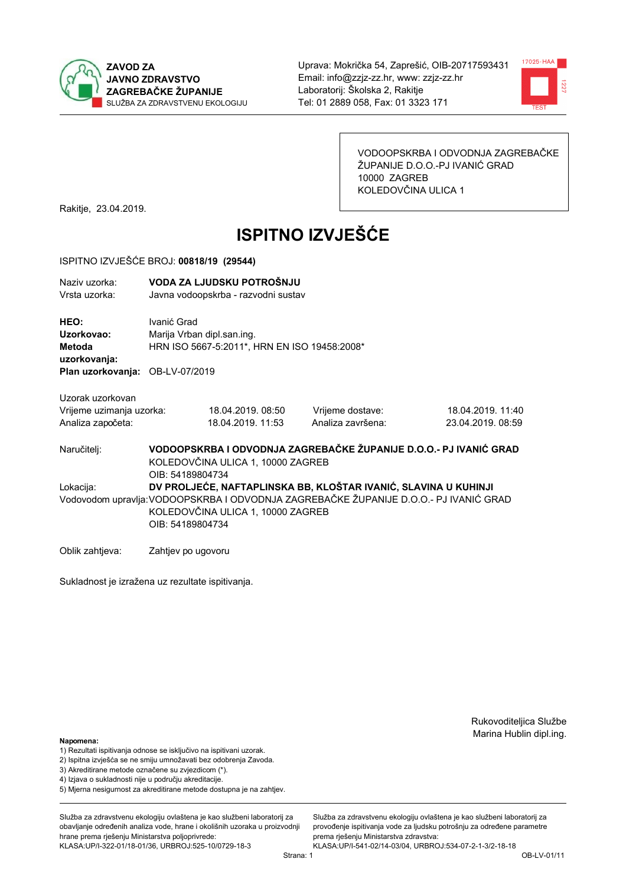



VODOOPSKRBA I ODVODNJA ZAGREBAČKE ŽUPANIJE D.O.O.-PJ IVANIĆ GRAD 10000 ZAGREB KOLEDOVČINA ULICA 1

Rakitje, 23.04.2019.

# **ISPITNO IZVJEŠĆE**

#### ISPITNO IZVJEŠĆE BROJ: 00818/19 (29544)

| Naziv uzorka:<br>Vrsta uzorka:  |                                                                                                                                                | VODA ZA LJUDSKU POTROŠNJU<br>Javna vodoopskrba - razvodni sustav |                                                                 |                                                                   |  |  |  |
|---------------------------------|------------------------------------------------------------------------------------------------------------------------------------------------|------------------------------------------------------------------|-----------------------------------------------------------------|-------------------------------------------------------------------|--|--|--|
| HEO:<br>Uzorkovao:<br>Metoda    | Ivanić Grad                                                                                                                                    | Marija Vrban dipl.san.ing.                                       |                                                                 |                                                                   |  |  |  |
| uzorkovanja:                    |                                                                                                                                                | HRN ISO 5667-5:2011*, HRN EN ISO 19458:2008*                     |                                                                 |                                                                   |  |  |  |
| Plan uzorkovanja: OB-LV-07/2019 |                                                                                                                                                |                                                                  |                                                                 |                                                                   |  |  |  |
| Uzorak uzorkovan                |                                                                                                                                                |                                                                  |                                                                 |                                                                   |  |  |  |
| Vrijeme uzimanja uzorka:        |                                                                                                                                                | 18.04.2019.08:50                                                 | Vrijeme dostave:                                                | 18.04.2019. 11:40                                                 |  |  |  |
| Analiza započeta:               |                                                                                                                                                | 18.04.2019. 11:53                                                | Analiza završena:                                               | 23.04.2019. 08:59                                                 |  |  |  |
| Naručitelj:                     | OIB: 54189804734                                                                                                                               | KOLEDOVČINA ULICA 1, 10000 ZAGREB                                |                                                                 | VODOOPSKRBA I ODVODNJA ZAGREBAČKE ŽUPANIJE D.O.O.- PJ IVANIĆ GRAD |  |  |  |
| Lokacija:                       |                                                                                                                                                |                                                                  | DV PROLJEĆE, NAFTAPLINSKA BB, KLOŠTAR IVANIĆ, SLAVINA U KUHINJI |                                                                   |  |  |  |
|                                 | Vodovodom upravlja: VODOOPSKRBA I ODVODNJA ZAGREBAČKE ŽUPANIJE D.O.O.- PJ IVANIĆ GRAD<br>KOLEDOVČINA ULICA 1, 10000 ZAGREB<br>OIB: 54189804734 |                                                                  |                                                                 |                                                                   |  |  |  |
|                                 |                                                                                                                                                |                                                                  |                                                                 |                                                                   |  |  |  |
| Oblik zahtjeva:                 | Zahtjev po ugovoru                                                                                                                             |                                                                  |                                                                 |                                                                   |  |  |  |

Sukladnost je izražena uz rezultate ispitivanja.

Rukovoditeljica Službe Marina Hublin dipl.ing.

#### Napomena:

- 1) Rezultati ispitivanja odnose se isključivo na ispitivani uzorak.
- 2) Ispitna izvješća se ne smiju umnožavati bez odobrenja Zavoda.

3) Akreditirane metode označene su zvjezdicom (\*).

- 4) Iziava o sukladnosti nije u područiu akreditacije.
- 5) Mjerna nesigurnost za akreditirane metode dostupna je na zahtjev.

Služba za zdravstvenu ekologiju ovlaštena je kao službeni laboratorij za obavlianie određenih analiza vode, hrane i okolišnih uzoraka u proizvodniji hrane prema rješenju Ministarstva poljoprivrede: KLASA:UP/I-322-01/18-01/36, URBROJ:525-10/0729-18-3

Služba za zdravstvenu ekologiju ovlaštena je kao službeni laboratorij za provođenje ispitivanja vode za ljudsku potrošnju za određene parametre prema rješenju Ministarstva zdravstva: KLASA:UP/I-541-02/14-03/04, URBROJ:534-07-2-1-3/2-18-18

Strana: 1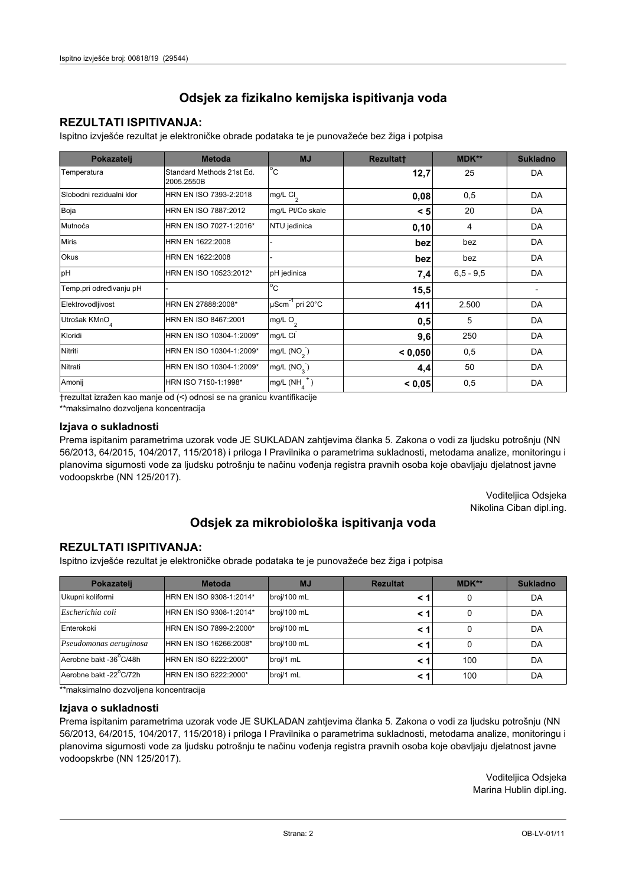## **REZULTATI ISPITIVANJA:**

Ispitno izviešće rezultat je elektroničke obrade podataka te je punovažeće bez žiga i potpisa

| Pokazatelj                | <b>Metoda</b>                           | <b>MJ</b>                   | <b>Rezultatt</b> | MDK**         | <b>Sukladno</b> |
|---------------------------|-----------------------------------------|-----------------------------|------------------|---------------|-----------------|
| Temperatura               | Standard Methods 21st Ed.<br>2005.2550B | $^{\circ}$ C                | 12,7             | 25            | DA              |
| Slobodni rezidualni klor  | HRN EN ISO 7393-2:2018                  | mg/L $Cl2$                  | 0,08             | 0,5           | DA              |
| Boja                      | HRN EN ISO 7887:2012                    | mg/L Pt/Co skale            | < 5              | 20            | DA              |
| Mutnoća                   | HRN EN ISO 7027-1:2016*                 | NTU jedinica                | 0,10             | 4             | DA              |
| <b>Miris</b>              | HRN EN 1622:2008                        |                             | bez              | bez           | DA              |
| Okus                      | HRN EN 1622:2008                        |                             | bez              | bez           | DA              |
| pH                        | HRN EN ISO 10523:2012*                  | pH jedinica                 | 7,4              | $6, 5 - 9, 5$ | DA              |
| Temp.pri određivanju pH   |                                         | $^{\circ}$ C                | 15,5             |               |                 |
| Elektrovodljivost         | HRN EN 27888:2008*                      | µScm <sup>-1</sup> pri 20°C | 411              | 2.500         | DA              |
| Utrošak KMnO <sub>4</sub> | HRN EN ISO 8467:2001                    | mg/L O <sub>2</sub>         | 0,5              | 5             | DA              |
| Kloridi                   | HRN EN ISO 10304-1:2009*                | mg/L CI                     | 9,6              | 250           | DA              |
| Nitriti                   | HRN EN ISO 10304-1:2009*                | mg/L $(NO2)$                | < 0.050          | 0,5           | DA              |
| Nitrati                   | HRN EN ISO 10304-1:2009*                | mg/L (NO <sub>3</sub> )     | 4,4              | 50            | DA              |
| Amonij                    | HRN ISO 7150-1:1998*                    | mg/L (NH                    | < 0,05           | 0,5           | DA              |

trezultat izražen kao manje od (<) odnosi se na granicu kvantifikacije

\*\*maksimalno dozvoljena koncentracija

#### Izjava o sukladnosti

Prema ispitanim parametrima uzorak vode JE SUKLADAN zahtievima članka 5. Zakona o vodi za ljudsku potrošnju (NN 56/2013, 64/2015, 104/2017, 115/2018) i priloga I Pravilnika o parametrima sukladnosti, metodama analize, monitoringu i planovima sigurnosti vode za ljudsku potrošnju te načinu vođenja registra pravnih osoba koje obavljaju djelatnost javne vodoopskrbe (NN 125/2017).

> Voditeljica Odsjeka Nikolina Ciban dipl.ing.

## Odsjek za mikrobiološka ispitivanja voda

### **REZULTATI ISPITIVANJA:**

Ispitno izvješće rezultat je elektroničke obrade podataka te je punovažeće bez žiga i potpisa

| Pokazatelj             | <b>Metoda</b>           | <b>MJ</b>   | <b>Rezultat</b> | <b>MDK**</b> | <b>Sukladno</b> |
|------------------------|-------------------------|-------------|-----------------|--------------|-----------------|
| Ukupni koliformi       | HRN EN ISO 9308-1:2014* | broj/100 mL |                 |              | DA              |
| Escherichia coli       | HRN EN ISO 9308-1:2014* | broj/100 mL | < 1             |              | DA              |
| Enterokoki             | HRN EN ISO 7899-2:2000* | broj/100 mL | < '             |              | DA              |
| Pseudomonas aeruginosa | HRN EN ISO 16266:2008*  | broj/100 mL | < 1             | 0            | DA              |
| Aerobne bakt -36 C/48h | HRN EN ISO 6222:2000*   | broj/1 mL   |                 | 100          | DA              |
| Aerobne bakt -22°C/72h | HRN EN ISO 6222:2000*   | broj/1 mL   | < 1             | 100          | DA              |

\*\*maksimalno dozvoljena koncentracija

#### Izjava o sukladnosti

Prema ispitanim parametrima uzorak vode JE SUKLADAN zahtjevima članka 5. Zakona o vodi za ljudsku potrošnju (NN 56/2013, 64/2015, 104/2017, 115/2018) i priloga I Pravilnika o parametrima sukladnosti, metodama analize, monitoringu i planovima sigurnosti vode za ljudsku potrošnju te načinu vođenja registra pravnih osoba koje obavljaju djelatnost javne vodoopskrbe (NN 125/2017).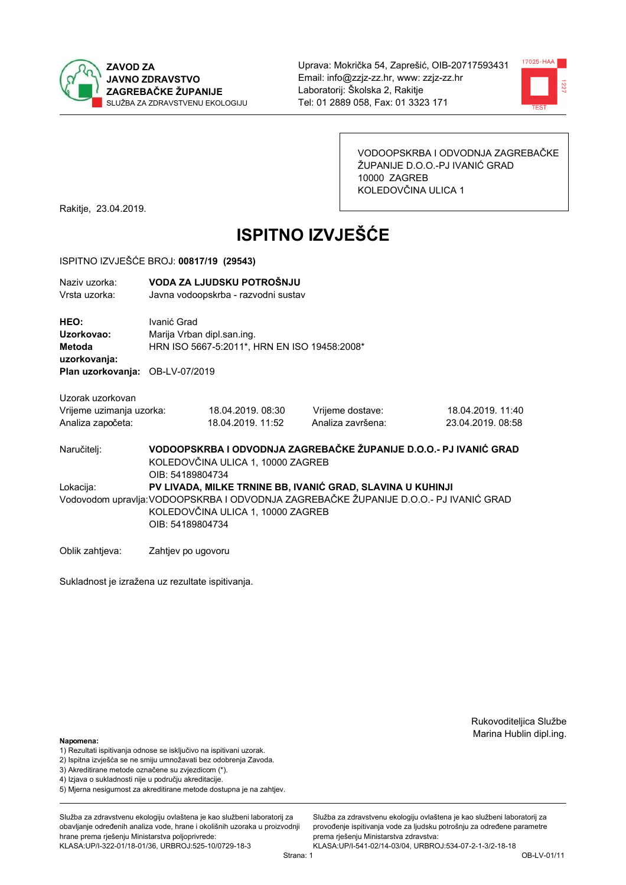



VODOOPSKRBA I ODVODNJA ZAGREBAČKE ŽUPANIJE D.O.O.-PJ IVANIĆ GRAD 10000 ZAGREB KOLEDOVČINA ULICA 1

Rakitje, 23.04.2019.

# **ISPITNO IZVJEŠĆE**

#### ISPITNO IZVJEŠĆE BROJ: 00817/19 (29543)

| Naziv uzorka:<br>Vrsta uzorka:               | VODA ZA LJUDSKU POTROŠNJU<br>Javna vodoopskrba - razvodni sustav                                                                                                                                             |                                                                            |                   |                   |  |  |  |
|----------------------------------------------|--------------------------------------------------------------------------------------------------------------------------------------------------------------------------------------------------------------|----------------------------------------------------------------------------|-------------------|-------------------|--|--|--|
| HEO:<br>Uzorkovao:<br>Metoda<br>uzorkovanja: | Ivanić Grad                                                                                                                                                                                                  | Marija Vrban dipl.san.ing.<br>HRN ISO 5667-5:2011*, HRN EN ISO 19458:2008* |                   |                   |  |  |  |
| Plan uzorkovanja: OB-LV-07/2019              |                                                                                                                                                                                                              |                                                                            |                   |                   |  |  |  |
| Uzorak uzorkovan                             |                                                                                                                                                                                                              |                                                                            |                   |                   |  |  |  |
| Vrijeme uzimanja uzorka:                     |                                                                                                                                                                                                              | 18.04.2019.08:30                                                           | Vrijeme dostave:  | 18.04.2019. 11:40 |  |  |  |
| Analiza započeta:                            |                                                                                                                                                                                                              | 18.04.2019. 11:52                                                          | Analiza završena: | 23.04.2019. 08:58 |  |  |  |
| Naručitelj:                                  | VODOOPSKRBA I ODVODNJA ZAGREBAČKE ŽUPANIJE D.O.O.- PJ IVANIĆ GRAD<br>KOLEDOVČINA ULICA 1, 10000 ZAGREB<br>OIB: 54189804734                                                                                   |                                                                            |                   |                   |  |  |  |
| Lokacija:                                    | PV LIVADA, MILKE TRNINE BB, IVANIĆ GRAD, SLAVINA U KUHINJI<br>Vodovodom upravlja: VODOOPSKRBA I ODVODNJA ZAGREBAČKE ŽUPANIJE D.O.O.- PJ IVANIĆ GRAD<br>KOLEDOVČINA ULICA 1, 10000 ZAGREB<br>OIB: 54189804734 |                                                                            |                   |                   |  |  |  |
| Oblik zahtieva:                              | Zahtjev po ugovoru                                                                                                                                                                                           |                                                                            |                   |                   |  |  |  |

Sukladnost je izražena uz rezultate ispitivanja.

Rukovoditeljica Službe Marina Hublin dipl.ing.

#### Napomena:

- 1) Rezultati ispitivanja odnose se isključivo na ispitivani uzorak.
- 2) Ispitna izvješća se ne smiju umnožavati bez odobrenja Zavoda.

3) Akreditirane metode označene su zvjezdicom (\*).

- 4) Iziava o sukladnosti nije u područiu akreditacije.
- 5) Mjerna nesigurnost za akreditirane metode dostupna je na zahtjev.

Služba za zdravstvenu ekologiju ovlaštena je kao službeni laboratorij za obavlianie određenih analiza vode, hrane i okolišnih uzoraka u proizvodniji hrane prema rješenju Ministarstva poljoprivrede: KLASA:UP/I-322-01/18-01/36, URBROJ:525-10/0729-18-3

Služba za zdravstvenu ekologiju ovlaštena je kao službeni laboratorij za provođenie ispitivania vode za liudsku potrošniu za određene parametre prema rješenju Ministarstva zdravstva: KLASA:UP/I-541-02/14-03/04, URBROJ:534-07-2-1-3/2-18-18

Strana: 1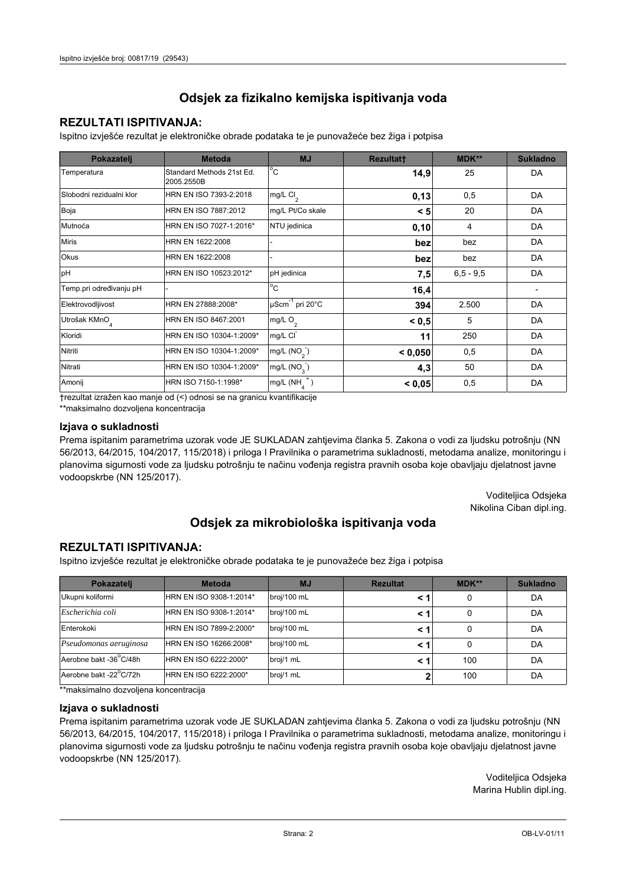## **REZULTATI ISPITIVANJA:**

Ispitno izviešće rezultat je elektroničke obrade podataka te je punovažeće bez žiga i potpisa

| Pokazatelj                | <b>Metoda</b>                           | <b>MJ</b>               | <b>Rezultatt</b> | MDK**         | <b>Sukladno</b> |
|---------------------------|-----------------------------------------|-------------------------|------------------|---------------|-----------------|
| Temperatura               | Standard Methods 21st Ed.<br>2005.2550B | $^{\circ}$ C            | 14,9             | 25            | DA              |
| Slobodni rezidualni klor  | HRN EN ISO 7393-2:2018                  | mg/L $Cl2$              | 0,13             | 0,5           | DA              |
| Boja                      | HRN EN ISO 7887:2012                    | mg/L Pt/Co skale        | < 5              | 20            | DA              |
| Mutnoća                   | HRN EN ISO 7027-1:2016*                 | NTU jedinica            | 0,10             | 4             | DA              |
| <b>Miris</b>              | HRN EN 1622:2008                        |                         | bez              | bez           | DA              |
| Okus                      | HRN EN 1622:2008                        |                         | bez              | bez           | DA              |
| pH                        | HRN EN ISO 10523:2012*                  | pH jedinica             | 7,5              | $6, 5 - 9, 5$ | DA              |
| Temp.pri određivanju pH   |                                         | $^{\circ}$ C            | 16,4             |               |                 |
| Elektrovodljivost         | HRN EN 27888:2008*                      | µScm-1 pri 20°C         | 394              | 2.500         | DA              |
| Utrošak KMnO <sub>4</sub> | HRN EN ISO 8467:2001                    | mg/L O <sub>2</sub>     | < 0.5            | 5             | DA              |
| Kloridi                   | HRN EN ISO 10304-1:2009*                | mg/L CI                 | 11               | 250           | DA              |
| Nitriti                   | HRN EN ISO 10304-1:2009*                | mg/L (NO <sub>2</sub> ) | < 0.050          | 0,5           | DA              |
| Nitrati                   | HRN EN ISO 10304-1:2009*                | mg/L (NO <sub>3</sub> ) | 4,3              | 50            | DA              |
| Amonij                    | HRN ISO 7150-1:1998*                    | mg/L (NH                | < 0,05           | 0,5           | DA              |

trezultat izražen kao manje od (<) odnosi se na granicu kvantifikacije

\*\*maksimalno dozvoljena koncentracija

#### Izjava o sukladnosti

Prema ispitanim parametrima uzorak vode JE SUKLADAN zahtievima članka 5. Zakona o vodi za ljudsku potrošnju (NN 56/2013, 64/2015, 104/2017, 115/2018) i priloga I Pravilnika o parametrima sukladnosti, metodama analize, monitoringu i planovima sigurnosti vode za ljudsku potrošnju te načinu vođenja registra pravnih osoba koje obavljaju djelatnost javne vodoopskrbe (NN 125/2017).

> Voditeljica Odsjeka Nikolina Ciban dipl.ing.

## Odsjek za mikrobiološka ispitivanja voda

### **REZULTATI ISPITIVANJA:**

Ispitno izvješće rezultat je elektroničke obrade podataka te je punovažeće bez žiga i potpisa

| Pokazatelj             | <b>Metoda</b>           | <b>MJ</b>   | <b>Rezultat</b> | <b>MDK**</b> | <b>Sukladno</b> |
|------------------------|-------------------------|-------------|-----------------|--------------|-----------------|
| Ukupni koliformi       | HRN EN ISO 9308-1:2014* | broj/100 mL |                 |              | DA              |
| Escherichia coli       | HRN EN ISO 9308-1:2014* | broj/100 mL | < 1             |              | DA              |
| Enterokoki             | HRN EN ISO 7899-2:2000* | broj/100 mL | < '             |              | DA              |
| Pseudomonas aeruginosa | HRN EN ISO 16266:2008*  | broj/100 mL | < 1             | 0            | DA              |
| Aerobne bakt -36 C/48h | HRN EN ISO 6222:2000*   | broj/1 mL   |                 | 100          | DA              |
| Aerobne bakt -22°C/72h | HRN EN ISO 6222:2000*   | broj/1 mL   |                 | 100          | DA              |

\*\*maksimalno dozvoljena koncentracija

#### Izjava o sukladnosti

Prema ispitanim parametrima uzorak vode JE SUKLADAN zahtjevima članka 5. Zakona o vodi za ljudsku potrošnju (NN 56/2013, 64/2015, 104/2017, 115/2018) i priloga I Pravilnika o parametrima sukladnosti, metodama analize, monitoringu i planovima sigurnosti vode za ljudsku potrošnju te načinu vođenja registra pravnih osoba koje obavljaju djelatnost javne vodoopskrbe (NN 125/2017).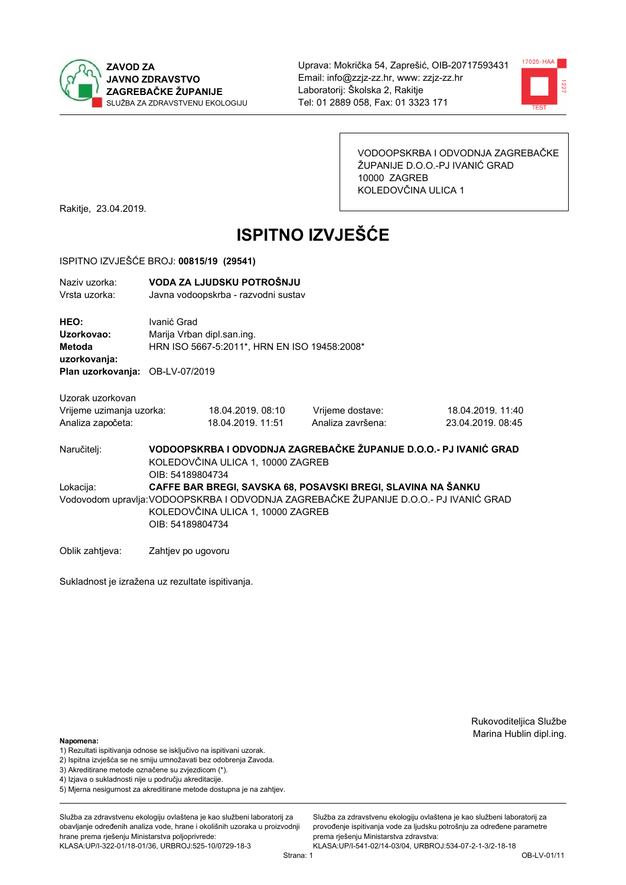



VODOOPSKRBA I ODVODNJA ZAGREBAČKE ŽUPANIJE D.O.O.-PJ IVANIĆ GRAD 10000 ZAGREB KOLEDOVČINA ULICA 1

Rakitje, 23.04.2019.

# **ISPITNO IZVJEŠĆE**

#### ISPITNO IZVJEŠĆE BROJ: 00815/19 (29541)

| Naziv uzorka:<br>Vrsta uzorka:                                    | VODA ZA LJUDSKU POTROŠNJU<br>Javna vodoopskrba - razvodni sustav                          |                                       |                                                                                                                                                      |                                        |  |  |
|-------------------------------------------------------------------|-------------------------------------------------------------------------------------------|---------------------------------------|------------------------------------------------------------------------------------------------------------------------------------------------------|----------------------------------------|--|--|
| <b>HEO:</b><br>Uzorkovao:<br>Metoda<br>uzorkovanja:               | Ivanić Grad<br>Marija Vrban dipl.san.ing.<br>HRN ISO 5667-5:2011*, HRN EN ISO 19458:2008* |                                       |                                                                                                                                                      |                                        |  |  |
| Plan uzorkovanja: OB-LV-07/2019                                   |                                                                                           |                                       |                                                                                                                                                      |                                        |  |  |
| Uzorak uzorkovan<br>Vrijeme uzimanja uzorka:<br>Analiza započeta: |                                                                                           | 18.04.2019.08:10<br>18.04.2019. 11:51 | Vrijeme dostave:<br>Analiza završena:                                                                                                                | 18.04.2019. 11:40<br>23.04.2019. 08:45 |  |  |
| Naručitelj:                                                       | OIB: 54189804734                                                                          | KOLEDOVČINA ULICA 1, 10000 ZAGREB     | VODOOPSKRBA I ODVODNJA ZAGREBAČKE ŽUPANIJE D.O.O.- PJ IVANIĆ GRAD                                                                                    |                                        |  |  |
| Lokacija:                                                         | OIB: 54189804734                                                                          | KOLEDOVČINA ULICA 1, 10000 ZAGREB     | CAFFE BAR BREGI, SAVSKA 68, POSAVSKI BREGI, SLAVINA NA ŠANKU<br>Vodovodom upravlja:VODOOPSKRBA I ODVODNJA ZAGREBAČKE ŽUPANIJE D.O.O.- PJ IVANIĆ GRAD |                                        |  |  |

Oblik zahtjeva: Zahtjev po ugovoru

Sukladnost je izražena uz rezultate ispitivanja.

Rukovoditeljica Službe Marina Hublin dipl.ing.

#### Napomena:

- 1) Rezultati ispitivanja odnose se isključivo na ispitivani uzorak.
- 2) Ispitna izvješća se ne smiju umnožavati bez odobrenja Zavoda.

3) Akreditirane metode označene su zvjezdicom (\*).

- 4) Iziava o sukladnosti nije u područiu akreditacije.
- 5) Mjerna nesigurnost za akreditirane metode dostupna je na zahtjev.

Služba za zdravstvenu ekologiju ovlaštena je kao službeni laboratorij za obavlianie određenih analiza vode, hrane i okolišnih uzoraka u proizvodniji hrane prema rješenju Ministarstva poljoprivrede: KLASA:UP/I-322-01/18-01/36, URBROJ:525-10/0729-18-3

Služba za zdravstvenu ekologiju ovlaštena je kao službeni laboratorij za provođenie ispitivania vode za liudsku potrošniu za određene parametre prema rješenju Ministarstva zdravstva: KLASA:UP/I-541-02/14-03/04, URBROJ:534-07-2-1-3/2-18-18

Strana: 1